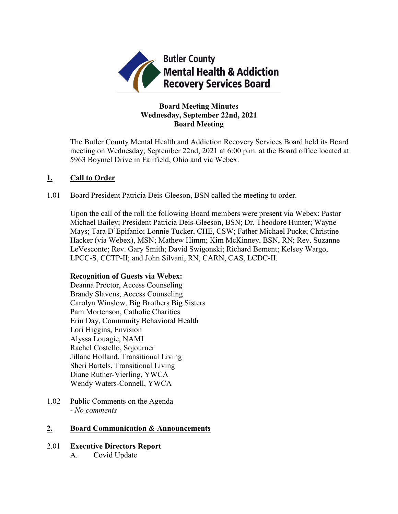

## **Board Meeting Minutes Wednesday, September 22nd, 2021 Board Meeting**

The Butler County Mental Health and Addiction Recovery Services Board held its Board meeting on Wednesday, September 22nd, 2021 at 6:00 p.m. at the Board office located at 5963 Boymel Drive in Fairfield, Ohio and via Webex.

## **1. Call to Order**

1.01 Board President Patricia Deis-Gleeson, BSN called the meeting to order.

Upon the call of the roll the following Board members were present via Webex: Pastor Michael Bailey; President Patricia Deis-Gleeson, BSN; Dr. Theodore Hunter; Wayne Mays; Tara D'Epifanio; Lonnie Tucker, CHE, CSW; Father Michael Pucke; Christine Hacker (via Webex), MSN; Mathew Himm; Kim McKinney, BSN, RN; Rev. Suzanne LeVesconte; Rev. Gary Smith; David Swigonski; Richard Bement; Kelsey Wargo, LPCC-S, CCTP-II; and John Silvani, RN, CARN, CAS, LCDC-II.

## **Recognition of Guests via Webex:**

Deanna Proctor, Access Counseling Brandy Slavens, Access Counseling Carolyn Winslow, Big Brothers Big Sisters Pam Mortenson, Catholic Charities Erin Day, Community Behavioral Health Lori Higgins, Envision Alyssa Louagie, NAMI Rachel Costello, Sojourner Jillane Holland, Transitional Living Sheri Bartels, Transitional Living Diane Ruther-Vierling, YWCA Wendy Waters-Connell, YWCA

1.02 Public Comments on the Agenda - *No comments*

## **2. Board Communication & Announcements**

2.01 **Executive Directors Report** A. Covid Update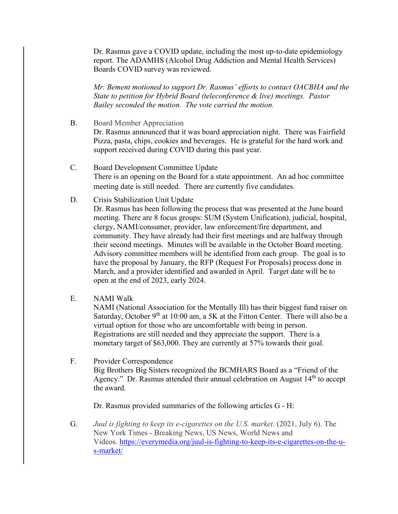Dr. Rasmus gave a COVID update, including the most up-to-date epidemiology report. The ADAMHS (Alcohol Drug Addiction and Mental Health Services) Boards COVID survey was reviewed.

*Mr. Bement motioned to support Dr. Rasmus' efforts to contact OACBHA and the State to petition for Hybrid Board (teleconference & live) meetings. Pastor Bailey seconded the motion. The vote carried the motion.*

- B. Board Member Appreciation Dr. Rasmus announced that it was board appreciation night. There was Fairfield Pizza, pasta, chips, cookies and beverages. He is grateful for the hard work and support received during COVID during this past year.
- C. Board Development Committee Update There is an opening on the Board for a state appointment. An ad hoc committee meeting date is still needed. There are currently five candidates.
- D. Crisis Stabilization Unit Update

Dr. Rasmus has been following the process that was presented at the June board meeting. There are 8 focus groups: SUM (System Unification), judicial, hospital, clergy, NAMI/consumer, provider, law enforcement/fire department, and community. They have already had their first meetings and are halfway through their second meetings. Minutes will be available in the October Board meeting. Advisory committee members will be identified from each group. The goal is to have the proposal by January, the RFP (Request For Proposals) process done in March, and a provider identified and awarded in April. Target date will be to open at the end of 2023, early 2024.

E. NAMI Walk

NAMI (National Association for the Mentally Ill) has their biggest fund raiser on Saturday, October  $9<sup>th</sup>$  at 10:00 am, a 5K at the Fitton Center. There will also be a virtual option for those who are uncomfortable with being in person. Registrations are still needed and they appreciate the support. There is a monetary target of \$63,000. They are currently at 57% towards their goal.

F. Provider Correspondence Big Brothers Big Sisters recognized the BCMHARS Board as a "Friend of the Agency." Dr. Rasmus attended their annual celebration on August 14<sup>th</sup> to accept the award.

Dr. Rasmus provided summaries of the following articles G - H:

G. *Juul is fighting to keep its e-cigarettes on the U.S. market*. (2021, July 6). The New York Times - Breaking News, US News, World News and Videos. [https://everymedia.org/juul-is-fighting-to-keep-its-e-cigarettes-on-the-u](https://everymedia.org/juul-is-fighting-to-keep-its-e-cigarettes-on-the-u-s-market/)[s-market/](https://everymedia.org/juul-is-fighting-to-keep-its-e-cigarettes-on-the-u-s-market/)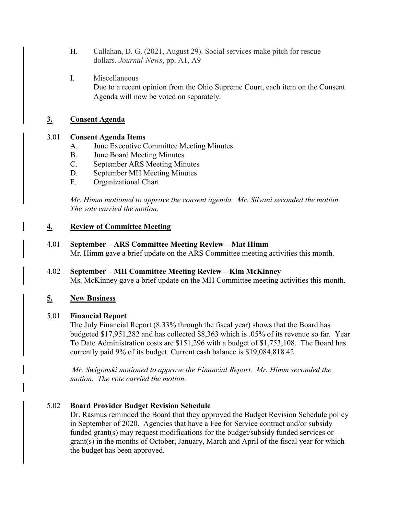- H. Callahan, D. G. (2021, August 29). Social services make pitch for rescue dollars. *Journal-News*, pp. A1, A9
- I. Miscellaneous Due to a recent opinion from the Ohio Supreme Court, each item on the Consent Agenda will now be voted on separately.

## **3. Consent Agenda**

## 3.01 **Consent Agenda Items**

- A. June Executive Committee Meeting Minutes
- B. June Board Meeting Minutes
- C. September ARS Meeting Minutes
- D. September MH Meeting Minutes
- F. Organizational Chart

*Mr. Himm motioned to approve the consent agenda. Mr. Silvani seconded the motion. The vote carried the motion.*

## **4. Review of Committee Meeting**

- 4.01 **September – ARS Committee Meeting Review – Mat Himm** Mr. Himm gave a brief update on the ARS Committee meeting activities this month.
- 4.02 **September – MH Committee Meeting Review – Kim McKinney** Ms. McKinney gave a brief update on the MH Committee meeting activities this month.

# **5. New Business**

## 5.01 **Financial Report**

The July Financial Report (8.33% through the fiscal year) shows that the Board has budgeted \$17,951,282 and has collected \$8,363 which is .05% of its revenue so far. Year To Date Administration costs are \$151,296 with a budget of \$1,753,108. The Board has currently paid 9% of its budget. Current cash balance is \$19,084,818.42.

*Mr. Swigonski motioned to approve the Financial Report. Mr. Himm seconded the motion. The vote carried the motion.*

## 5.02 **Board Provider Budget Revision Schedule**

Dr. Rasmus reminded the Board that they approved the Budget Revision Schedule policy in September of 2020. Agencies that have a Fee for Service contract and/or subsidy funded grant(s) may request modifications for the budget/subsidy funded services or grant(s) in the months of October, January, March and April of the fiscal year for which the budget has been approved.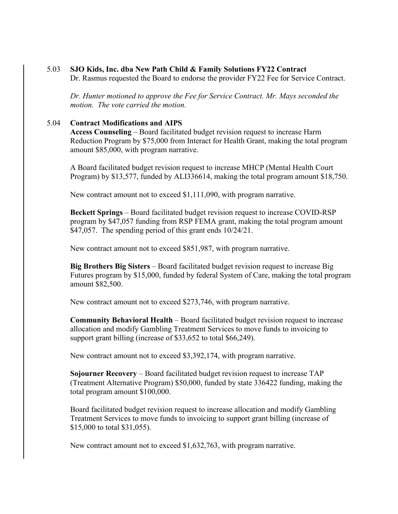#### 5.03 **SJO Kids, Inc. dba New Path Child & Family Solutions FY22 Contract**

Dr. Rasmus requested the Board to endorse the provider FY22 Fee for Service Contract.

*Dr. Hunter motioned to approve the Fee for Service Contract. Mr. Mays seconded the motion. The vote carried the motion.*

### 5.04 **Contract Modifications and AIPS**

**Access Counseling** – Board facilitated budget revision request to increase Harm Reduction Program by \$75,000 from Interact for Health Grant, making the total program amount \$85,000, with program narrative.

A Board facilitated budget revision request to increase MHCP (Mental Health Court Program) by \$13,577, funded by ALI336614, making the total program amount \$18,750.

New contract amount not to exceed \$1,111,090, with program narrative.

**Beckett Springs** – Board facilitated budget revision request to increase COVID-RSP program by \$47,057 funding from RSP FEMA grant, making the total program amount \$47,057. The spending period of this grant ends  $10/24/21$ .

New contract amount not to exceed \$851,987, with program narrative.

**Big Brothers Big Sisters** – Board facilitated budget revision request to increase Big Futures program by \$15,000, funded by federal System of Care, making the total program amount \$82,500.

New contract amount not to exceed \$273,746, with program narrative.

**Community Behavioral Health** – Board facilitated budget revision request to increase allocation and modify Gambling Treatment Services to move funds to invoicing to support grant billing (increase of \$33,652 to total \$66,249).

New contract amount not to exceed \$3,392,174, with program narrative.

**Sojourner Recovery** – Board facilitated budget revision request to increase TAP (Treatment Alternative Program) \$50,000, funded by state 336422 funding, making the total program amount \$100,000.

Board facilitated budget revision request to increase allocation and modify Gambling Treatment Services to move funds to invoicing to support grant billing (increase of \$15,000 to total \$31,055).

New contract amount not to exceed \$1,632,763, with program narrative.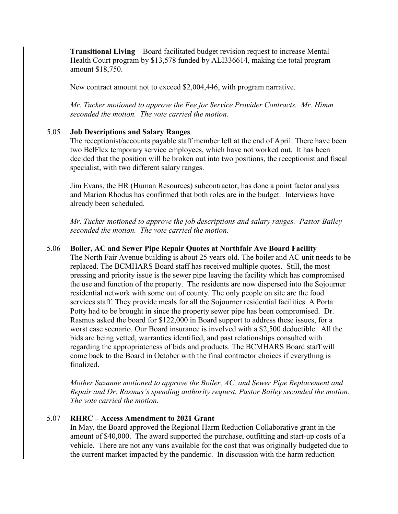**Transitional Living** – Board facilitated budget revision request to increase Mental Health Court program by \$13,578 funded by ALI336614, making the total program amount \$18,750.

New contract amount not to exceed \$2,004,446, with program narrative.

*Mr. Tucker motioned to approve the Fee for Service Provider Contracts. Mr. Himm seconded the motion. The vote carried the motion.*

#### 5.05 **Job Descriptions and Salary Ranges**

The receptionist/accounts payable staff member left at the end of April. There have been two BelFlex temporary service employees, which have not worked out. It has been decided that the position will be broken out into two positions, the receptionist and fiscal specialist, with two different salary ranges.

Jim Evans, the HR (Human Resources) subcontractor, has done a point factor analysis and Marion Rhodus has confirmed that both roles are in the budget. Interviews have already been scheduled.

*Mr. Tucker motioned to approve the job descriptions and salary ranges. Pastor Bailey seconded the motion. The vote carried the motion.*

#### 5.06 **Boiler, AC and Sewer Pipe Repair Quotes at Northfair Ave Board Facility**

The North Fair Avenue building is about 25 years old. The boiler and AC unit needs to be replaced. The BCMHARS Board staff has received multiple quotes. Still, the most pressing and priority issue is the sewer pipe leaving the facility which has compromised the use and function of the property. The residents are now dispersed into the Sojourner residential network with some out of county. The only people on site are the food services staff. They provide meals for all the Sojourner residential facilities. A Porta Potty had to be brought in since the property sewer pipe has been compromised. Dr. Rasmus asked the board for \$122,000 in Board support to address these issues, for a worst case scenario. Our Board insurance is involved with a \$2,500 deductible. All the bids are being vetted, warranties identified, and past relationships consulted with regarding the appropriateness of bids and products. The BCMHARS Board staff will come back to the Board in October with the final contractor choices if everything is finalized.

*Mother Suzanne motioned to approve the Boiler, AC, and Sewer Pipe Replacement and Repair and Dr. Rasmus's spending authority request. Pastor Bailey seconded the motion. The vote carried the motion.*

### 5.07 **RHRC – Access Amendment to 2021 Grant**

In May, the Board approved the Regional Harm Reduction Collaborative grant in the amount of \$40,000. The award supported the purchase, outfitting and start-up costs of a vehicle. There are not any vans available for the cost that was originally budgeted due to the current market impacted by the pandemic. In discussion with the harm reduction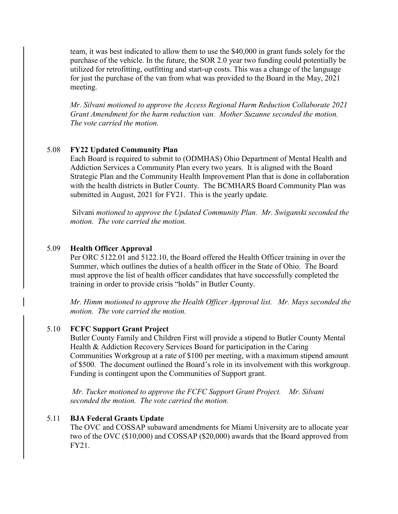team, it was best indicated to allow them to use the \$40,000 in grant funds solely for the purchase of the vehicle. In the future, the SOR 2.0 year two funding could potentially be utilized for retrofitting, outfitting and start-up costs. This was a change of the language for just the purchase of the van from what was provided to the Board in the May, 2021 meeting.

*Mr. Silvani motioned to approve the Access Regional Harm Reduction Collaborate 2021 Grant Amendment for the harm reduction van. Mother Suzanne seconded the motion. The vote carried the motion.*

### 5.08 **FY22 Updated Community Plan**

Each Board is required to submit to (ODMHAS) Ohio Department of Mental Health and Addiction Services a Community Plan every two years. It is aligned with the Board Strategic Plan and the Community Health Improvement Plan that is done in collaboration with the health districts in Butler County. The BCMHARS Board Community Plan was submitted in August, 2021 for FY21. This is the yearly update.

Silvani *motioned to approve the Updated Community Plan. Mr. Swiganski seconded the motion. The vote carried the motion.*

#### 5.09 **Health Officer Approval**

Per ORC 5122.01 and 5122.10, the Board offered the Health Officer training in over the Summer, which outlines the duties of a health officer in the State of Ohio. The Board must approve the list of health officer candidates that have successfully completed the training in order to provide crisis "holds" in Butler County.

*Mr. Himm motioned to approve the Health Officer Approval list. Mr. Mays seconded the motion. The vote carried the motion.*

### 5.10 **FCFC Support Grant Project**

Butler County Family and Children First will provide a stipend to Butler County Mental Health & Addiction Recovery Services Board for participation in the Caring Communities Workgroup at a rate of \$100 per meeting, with a maximum stipend amount of \$500. The document outlined the Board's role in its involvement with this workgroup. Funding is contingent upon the Communities of Support grant.

*Mr. Tucker motioned to approve the FCFC Support Grant Project. Mr. Silvani seconded the motion. The vote carried the motion.*

#### 5.11 **BJA Federal Grants Update**

The OVC and COSSAP subaward amendments for Miami University are to allocate year two of the OVC (\$10,000) and COSSAP (\$20,000) awards that the Board approved from FY21.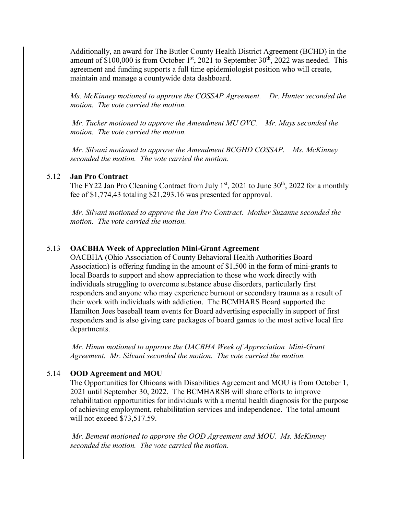Additionally, an award for The Butler County Health District Agreement (BCHD) in the amount of  $$100,000$  is from October 1<sup>st</sup>, 2021 to September 30<sup>th</sup>, 2022 was needed. This agreement and funding supports a full time epidemiologist position who will create, maintain and manage a countywide data dashboard.

*Ms. McKinney motioned to approve the COSSAP Agreement. Dr. Hunter seconded the motion. The vote carried the motion.*

*Mr. Tucker motioned to approve the Amendment MU OVC. Mr. Mays seconded the motion. The vote carried the motion.*

*Mr. Silvani motioned to approve the Amendment BCGHD COSSAP. Ms. McKinney seconded the motion. The vote carried the motion.*

### 5.12 **Jan Pro Contract**

The FY22 Jan Pro Cleaning Contract from July  $1<sup>st</sup>$ , 2021 to June 30<sup>th</sup>, 2022 for a monthly fee of \$1,774,43 totaling \$21,293.16 was presented for approval.

*Mr. Silvani motioned to approve the Jan Pro Contract. Mother Suzanne seconded the motion. The vote carried the motion.*

### 5.13 **OACBHA Week of Appreciation Mini-Grant Agreement**

OACBHA (Ohio Association of County Behavioral Health Authorities Board Association) is offering funding in the amount of \$1,500 in the form of mini-grants to local Boards to support and show appreciation to those who work directly with individuals struggling to overcome substance abuse disorders, particularly first responders and anyone who may experience burnout or secondary trauma as a result of their work with individuals with addiction. The BCMHARS Board supported the Hamilton Joes baseball team events for Board advertising especially in support of first responders and is also giving care packages of board games to the most active local fire departments.

*Mr. Himm motioned to approve the OACBHA Week of Appreciation Mini-Grant Agreement. Mr. Silvani seconded the motion. The vote carried the motion.*

#### 5.14 **OOD Agreement and MOU**

The Opportunities for Ohioans with Disabilities Agreement and MOU is from October 1, 2021 until September 30, 2022. The BCMHARSB will share efforts to improve rehabilitation opportunities for individuals with a mental health diagnosis for the purpose of achieving employment, rehabilitation services and independence. The total amount will not exceed \$73,517.59.

*Mr. Bement motioned to approve the OOD Agreement and MOU. Ms. McKinney seconded the motion. The vote carried the motion.*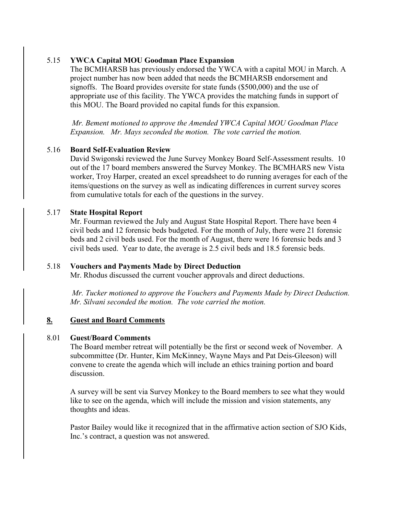## 5.15 **YWCA Capital MOU Goodman Place Expansion**

The BCMHARSB has previously endorsed the YWCA with a capital MOU in March. A project number has now been added that needs the BCMHARSB endorsement and signoffs. The Board provides oversite for state funds (\$500,000) and the use of appropriate use of this facility. The YWCA provides the matching funds in support of this MOU. The Board provided no capital funds for this expansion.

*Mr. Bement motioned to approve the Amended YWCA Capital MOU Goodman Place Expansion. Mr. Mays seconded the motion. The vote carried the motion.*

### 5.16 **Board Self-Evaluation Review**

David Swigonski reviewed the June Survey Monkey Board Self-Assessment results. 10 out of the 17 board members answered the Survey Monkey. The BCMHARS new Vista worker, Troy Harper, created an excel spreadsheet to do running averages for each of the items/questions on the survey as well as indicating differences in current survey scores from cumulative totals for each of the questions in the survey.

#### 5.17 **State Hospital Report**

Mr. Fourman reviewed the July and August State Hospital Report. There have been 4 civil beds and 12 forensic beds budgeted. For the month of July, there were 21 forensic beds and 2 civil beds used. For the month of August, there were 16 forensic beds and 3 civil beds used. Year to date, the average is 2.5 civil beds and 18.5 forensic beds.

### 5.18 **Vouchers and Payments Made by Direct Deduction**

Mr. Rhodus discussed the current voucher approvals and direct deductions.

*Mr. Tucker motioned to approve the Vouchers and Payments Made by Direct Deduction. Mr. Silvani seconded the motion. The vote carried the motion.* 

### **8. Guest and Board Comments**

#### 8.01 **Guest/Board Comments**

The Board member retreat will potentially be the first or second week of November. A subcommittee (Dr. Hunter, Kim McKinney, Wayne Mays and Pat Deis-Gleeson) will convene to create the agenda which will include an ethics training portion and board discussion.

A survey will be sent via Survey Monkey to the Board members to see what they would like to see on the agenda, which will include the mission and vision statements, any thoughts and ideas.

Pastor Bailey would like it recognized that in the affirmative action section of SJO Kids, Inc.'s contract, a question was not answered.